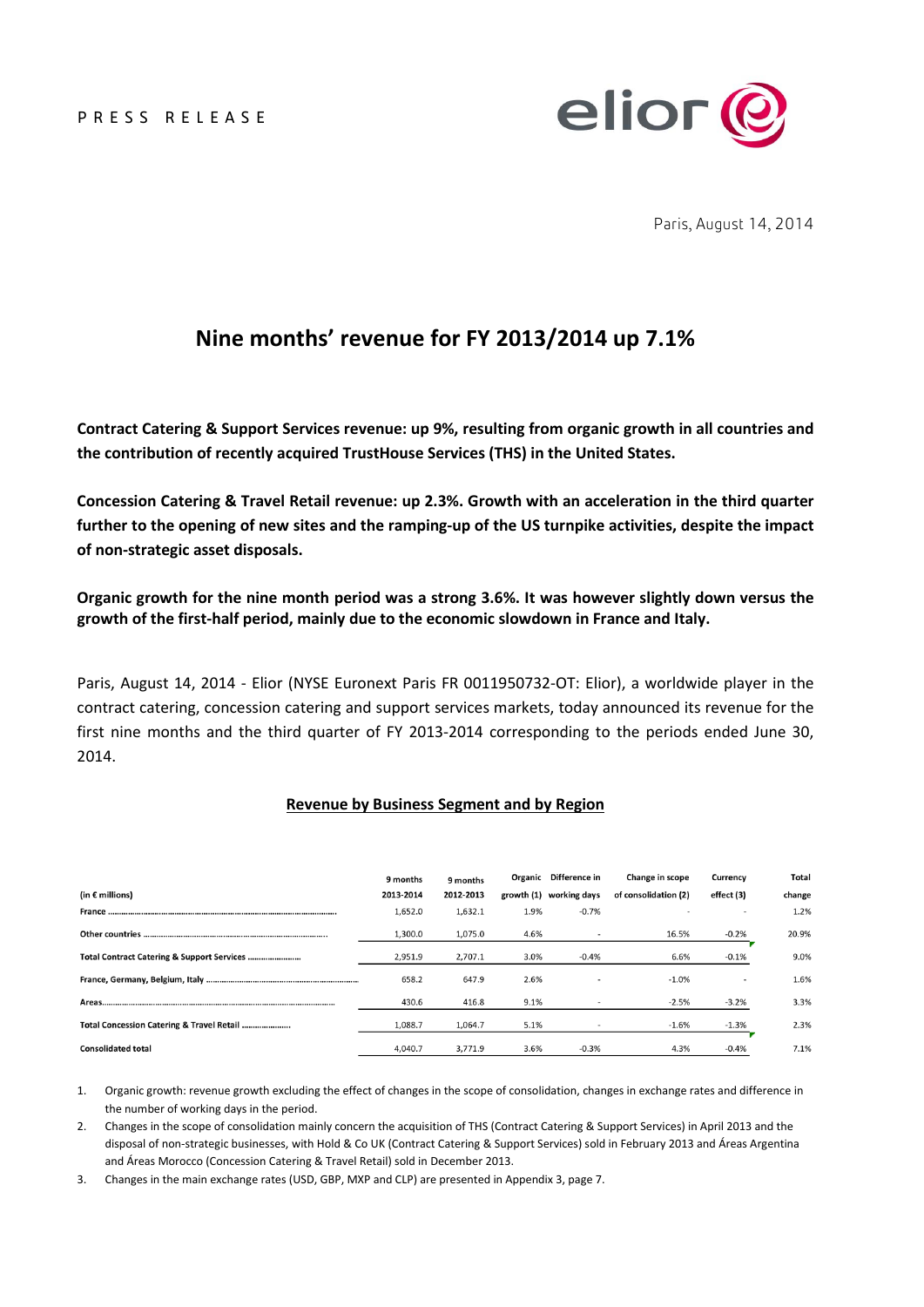PRESS RELEASE



Paris, August 14, 2014

# **Nine months' revenue for FY 2013/2014 up 7.1%**

**Contract Catering & Support Services revenue: up 9%, resulting from organic growth in all countries and the contribution of recently acquired TrustHouse Services (THS) in the United States.**

**Concession Catering & Travel Retail revenue: up 2.3%. Growth with an acceleration in the third quarter further to the opening of new sites and the ramping-up of the US turnpike activities, despite the impact of non-strategic asset disposals.** 

**Organic growth for the nine month period was a strong 3.6%. It was however slightly down versus the growth of the first-half period, mainly due to the economic slowdown in France and Italy.**

Paris, August 14, 2014 - Elior (NYSE Euronext Paris FR 0011950732-OT: Elior), a worldwide player in the contract catering, concession catering and support services markets, today announced its revenue for the first nine months and the third quarter of FY 2013-2014 corresponding to the periods ended June 30, 2014.

#### **Revenue by Business Segment and by Region**

|                                           | 9 months  | 9 months  |      | Organic Difference in   | Change in scope      | Currency   | Total  |
|-------------------------------------------|-----------|-----------|------|-------------------------|----------------------|------------|--------|
| (in $\epsilon$ millions)                  | 2013-2014 | 2012-2013 |      | growth (1) working days | of consolidation (2) | effect (3) | change |
| <b>France </b>                            | 1,652.0   | 1,632.1   | 1.9% | $-0.7%$                 |                      |            | 1.2%   |
|                                           | 1,300.0   | 1,075.0   | 4.6% |                         | 16.5%                | $-0.2%$    | 20.9%  |
|                                           | 2,951.9   | 2,707.1   | 3.0% | $-0.4%$                 | 6.6%                 | $-0.1%$    | 9.0%   |
|                                           | 658.2     | 647.9     | 2.6% |                         | $-1.0%$              |            | 1.6%   |
|                                           | 430.6     | 416.8     | 9.1% |                         | $-2.5%$              | $-3.2%$    | 3.3%   |
| Total Concession Catering & Travel Retail | 1,088.7   | 1,064.7   | 5.1% |                         | $-1.6%$              | $-1.3%$    | 2.3%   |
| <b>Consolidated total</b>                 | 4.040.7   | 3.771.9   | 3.6% | $-0.3%$                 | 4.3%                 | $-0.4%$    | 7.1%   |

1. Organic growth: revenue growth excluding the effect of changes in the scope of consolidation, changes in exchange rates and difference in the number of working days in the period.

2. Changes in the scope of consolidation mainly concern the acquisition of THS (Contract Catering & Support Services) in April 2013 and the disposal of non-strategic businesses, with Hold & Co UK (Contract Catering & Support Services) sold in February 2013 and Áreas Argentina and Áreas Morocco (Concession Catering & Travel Retail) sold in December 2013.

3. Changes in the main exchange rates (USD, GBP, MXP and CLP) are presented in Appendix 3, page 7.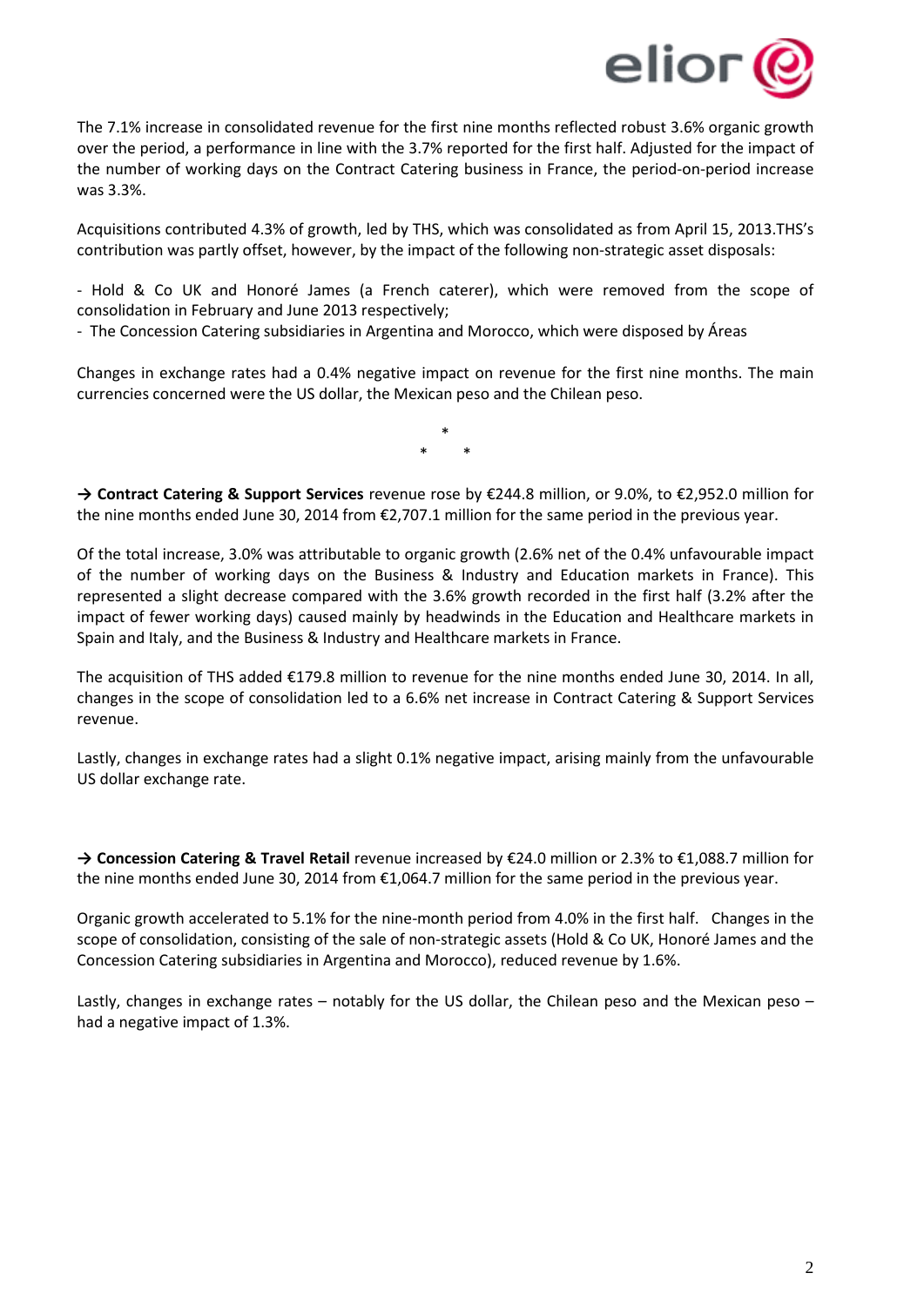

The 7.1% increase in consolidated revenue for the first nine months reflected robust 3.6% organic growth over the period, a performance in line with the 3.7% reported for the first half. Adjusted for the impact of the number of working days on the Contract Catering business in France, the period-on-period increase was 3.3%.

Acquisitions contributed 4.3% of growth, led by THS, which was consolidated as from April 15, 2013.THS's contribution was partly offset, however, by the impact of the following non-strategic asset disposals:

- Hold & Co UK and Honoré James (a French caterer), which were removed from the scope of consolidation in February and June 2013 respectively;

- The Concession Catering subsidiaries in Argentina and Morocco, which were disposed by Áreas

Changes in exchange rates had a 0.4% negative impact on revenue for the first nine months. The main currencies concerned were the US dollar, the Mexican peso and the Chilean peso.

> \* \* \*

**→ Contract Catering & Support Services** revenue rose by €244.8 million, or 9.0%, to €2,952.0 million for the nine months ended June 30, 2014 from €2,707.1 million for the same period in the previous year.

Of the total increase, 3.0% was attributable to organic growth (2.6% net of the 0.4% unfavourable impact of the number of working days on the Business & Industry and Education markets in France). This represented a slight decrease compared with the 3.6% growth recorded in the first half (3.2% after the impact of fewer working days) caused mainly by headwinds in the Education and Healthcare markets in Spain and Italy, and the Business & Industry and Healthcare markets in France.

The acquisition of THS added €179.8 million to revenue for the nine months ended June 30, 2014. In all, changes in the scope of consolidation led to a 6.6% net increase in Contract Catering & Support Services revenue.

Lastly, changes in exchange rates had a slight 0.1% negative impact, arising mainly from the unfavourable US dollar exchange rate.

**→ Concession Catering & Travel Retail** revenue increased by €24.0 million or 2.3% to €1,088.7 million for the nine months ended June 30, 2014 from €1,064.7 million for the same period in the previous year.

Organic growth accelerated to 5.1% for the nine-month period from 4.0% in the first half. Changes in the scope of consolidation, consisting of the sale of non-strategic assets (Hold & Co UK, Honoré James and the Concession Catering subsidiaries in Argentina and Morocco), reduced revenue by 1.6%.

Lastly, changes in exchange rates – notably for the US dollar, the Chilean peso and the Mexican peso – had a negative impact of 1.3%.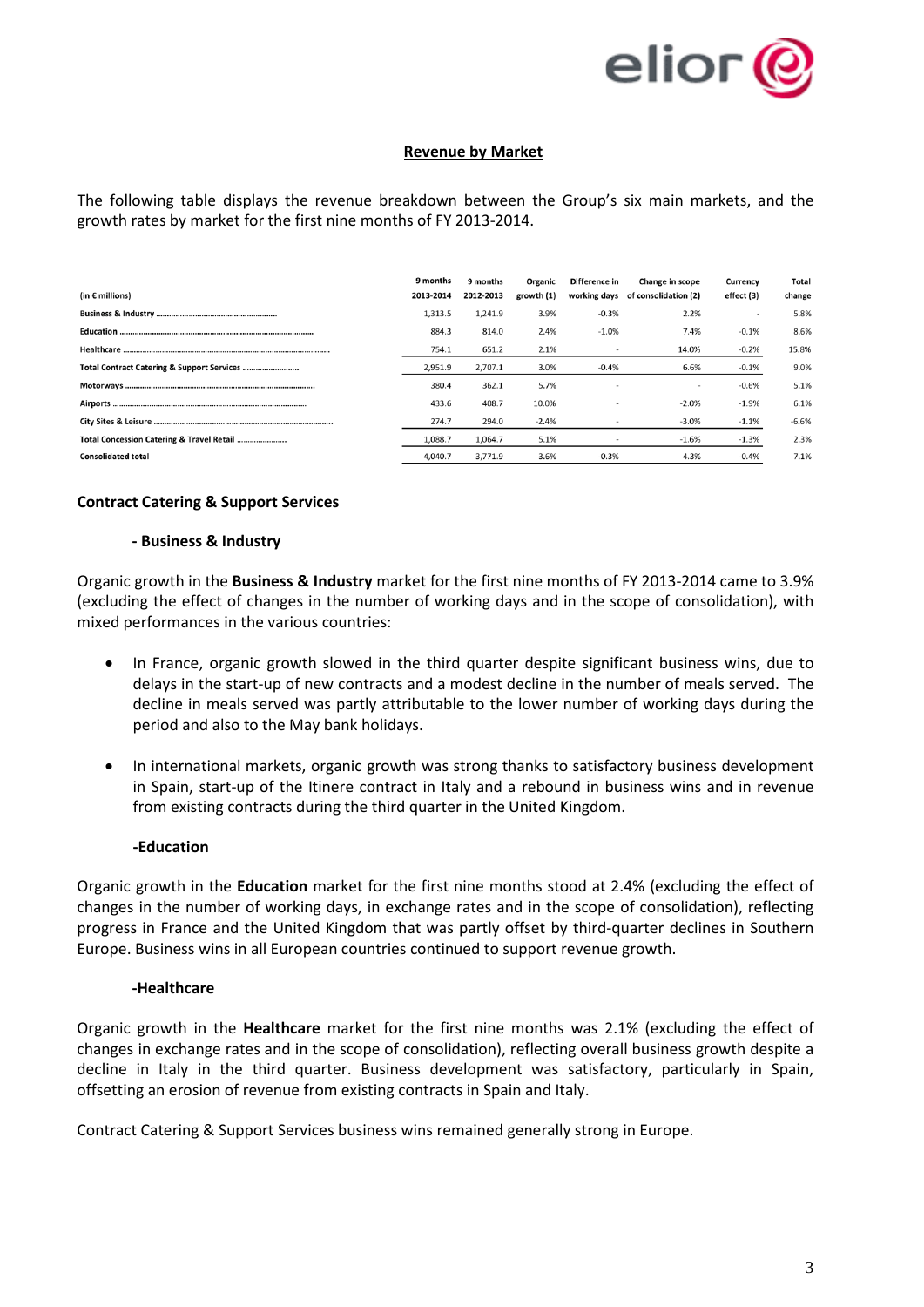

# **Revenue by Market**

The following table displays the revenue breakdown between the Group's six main markets, and the growth rates by market for the first nine months of FY 2013-2014.

| (in $\epsilon$ millions)                  | 9 months<br>2013-2014 | 9 months<br>2012-2013 | Organic<br>growth (1) | Difference in<br>working days | Change in scope<br>of consolidation (2) | <b>Currency</b><br>effect (3) | Total<br>change |
|-------------------------------------------|-----------------------|-----------------------|-----------------------|-------------------------------|-----------------------------------------|-------------------------------|-----------------|
|                                           | 1,313.5               | 1,241.9               | 3.9%                  | $-0.3%$                       | 2.2%                                    |                               | 5.8%            |
|                                           | 884.3                 | 814.0                 | 2.4%                  | $-1.0%$                       | 7.4%                                    | $-0.1%$                       | 8.6%            |
|                                           | 754.1                 | 651.2                 | 2.1%                  |                               | 14.0%                                   | $-0.2%$                       | 15.8%           |
|                                           | 2,951.9               | 2.707.1               | 3.0%                  | $-0.4%$                       | 6.6%                                    | $-0.1%$                       | 9.0%            |
|                                           | 380.4                 | 362.1                 | 5.7%                  |                               | ۰                                       | $-0.6%$                       | 5.1%            |
|                                           | 433.6                 | 408.7                 | 10.0%                 |                               | $-2.0%$                                 | $-1.9%$                       | 6.1%            |
|                                           | 274.7                 | 294.0                 | $-2.4%$               |                               | $-3.0%$                                 | $-1.1%$                       | $-6.6%$         |
| Total Concession Catering & Travel Retail | 1,088.7               | 1,064.7               | 5.1%                  |                               | $-1.6%$                                 | $-1.3%$                       | 2.3%            |
| <b>Consolidated total</b>                 | 4,040.7               | 3,771.9               | 3.6%                  | $-0.3%$                       | 4.3%                                    | $-0.4%$                       | 7.1%            |

# **Contract Catering & Support Services**

#### **- Business & Industry**

Organic growth in the **Business & Industry** market for the first nine months of FY 2013-2014 came to 3.9% (excluding the effect of changes in the number of working days and in the scope of consolidation), with mixed performances in the various countries:

- In France, organic growth slowed in the third quarter despite significant business wins, due to delays in the start-up of new contracts and a modest decline in the number of meals served. The decline in meals served was partly attributable to the lower number of working days during the period and also to the May bank holidays.
- In international markets, organic growth was strong thanks to satisfactory business development in Spain, start-up of the Itinere contract in Italy and a rebound in business wins and in revenue from existing contracts during the third quarter in the United Kingdom.

#### **-Education**

Organic growth in the **Education** market for the first nine months stood at 2.4% (excluding the effect of changes in the number of working days, in exchange rates and in the scope of consolidation), reflecting progress in France and the United Kingdom that was partly offset by third-quarter declines in Southern Europe. Business wins in all European countries continued to support revenue growth.

#### **-Healthcare**

Organic growth in the **Healthcare** market for the first nine months was 2.1% (excluding the effect of changes in exchange rates and in the scope of consolidation), reflecting overall business growth despite a decline in Italy in the third quarter. Business development was satisfactory, particularly in Spain, offsetting an erosion of revenue from existing contracts in Spain and Italy.

Contract Catering & Support Services business wins remained generally strong in Europe.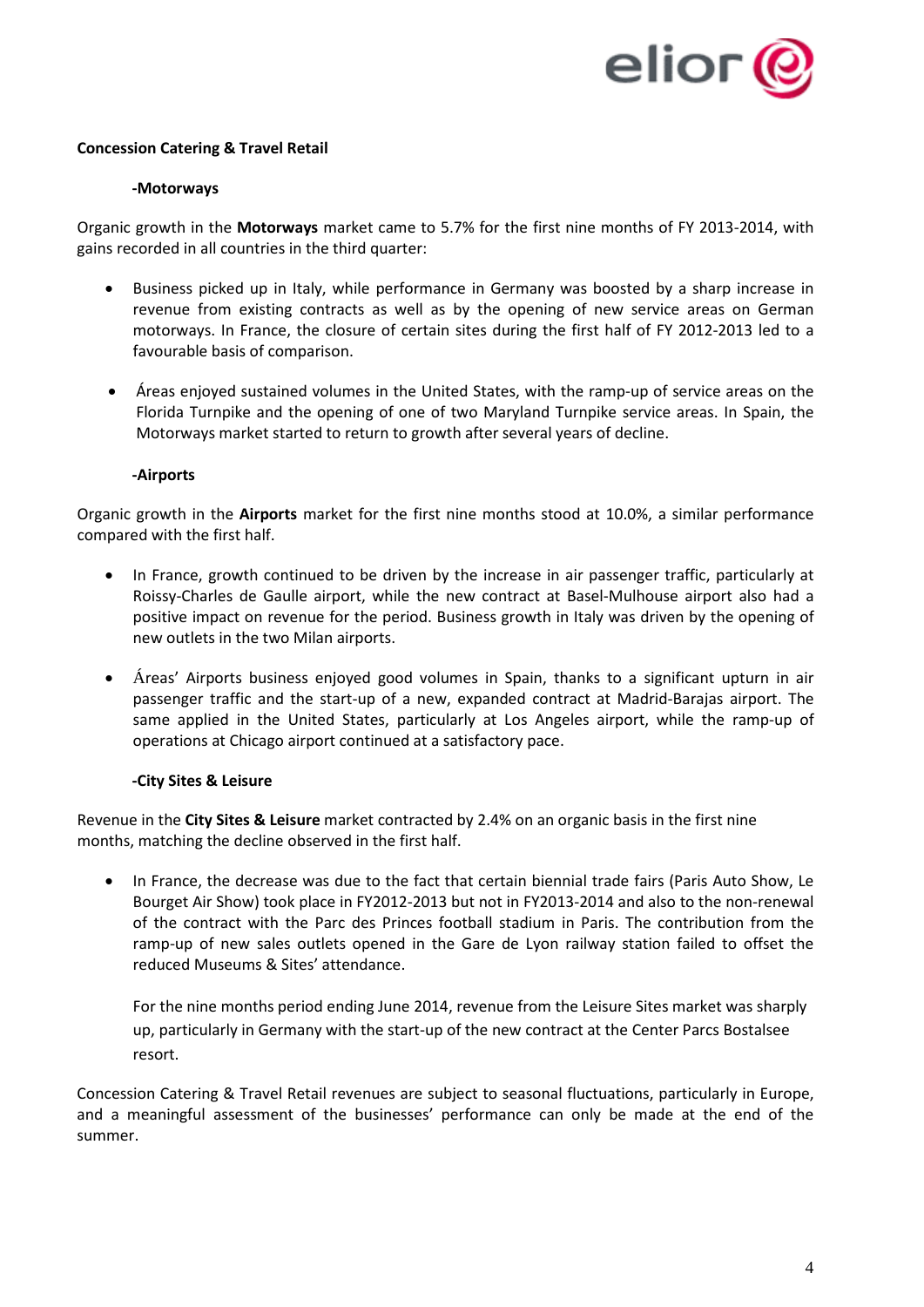

## **Concession Catering & Travel Retail**

## **-Motorways**

Organic growth in the **Motorways** market came to 5.7% for the first nine months of FY 2013-2014, with gains recorded in all countries in the third quarter:

- Business picked up in Italy, while performance in Germany was boosted by a sharp increase in revenue from existing contracts as well as by the opening of new service areas on German motorways. In France, the closure of certain sites during the first half of FY 2012-2013 led to a favourable basis of comparison.
- Áreas enjoyed sustained volumes in the United States, with the ramp-up of service areas on the Florida Turnpike and the opening of one of two Maryland Turnpike service areas. In Spain, the Motorways market started to return to growth after several years of decline.

## **-Airports**

Organic growth in the **Airports** market for the first nine months stood at 10.0%, a similar performance compared with the first half.

- In France, growth continued to be driven by the increase in air passenger traffic, particularly at Roissy-Charles de Gaulle airport, while the new contract at Basel-Mulhouse airport also had a positive impact on revenue for the period. Business growth in Italy was driven by the opening of new outlets in the two Milan airports.
- Áreas' Airports business enjoyed good volumes in Spain, thanks to a significant upturn in air passenger traffic and the start-up of a new, expanded contract at Madrid-Barajas airport. The same applied in the United States, particularly at Los Angeles airport, while the ramp-up of operations at Chicago airport continued at a satisfactory pace.

## **-City Sites & Leisure**

Revenue in the **City Sites & Leisure** market contracted by 2.4% on an organic basis in the first nine months, matching the decline observed in the first half.

• In France, the decrease was due to the fact that certain biennial trade fairs (Paris Auto Show, Le Bourget Air Show) took place in FY2012-2013 but not in FY2013-2014 and also to the non-renewal of the contract with the Parc des Princes football stadium in Paris. The contribution from the ramp-up of new sales outlets opened in the Gare de Lyon railway station failed to offset the reduced Museums & Sites' attendance.

For the nine months period ending June 2014, revenue from the Leisure Sites market was sharply up, particularly in Germany with the start-up of the new contract at the Center Parcs Bostalsee resort.

Concession Catering & Travel Retail revenues are subject to seasonal fluctuations, particularly in Europe, and a meaningful assessment of the businesses' performance can only be made at the end of the summer.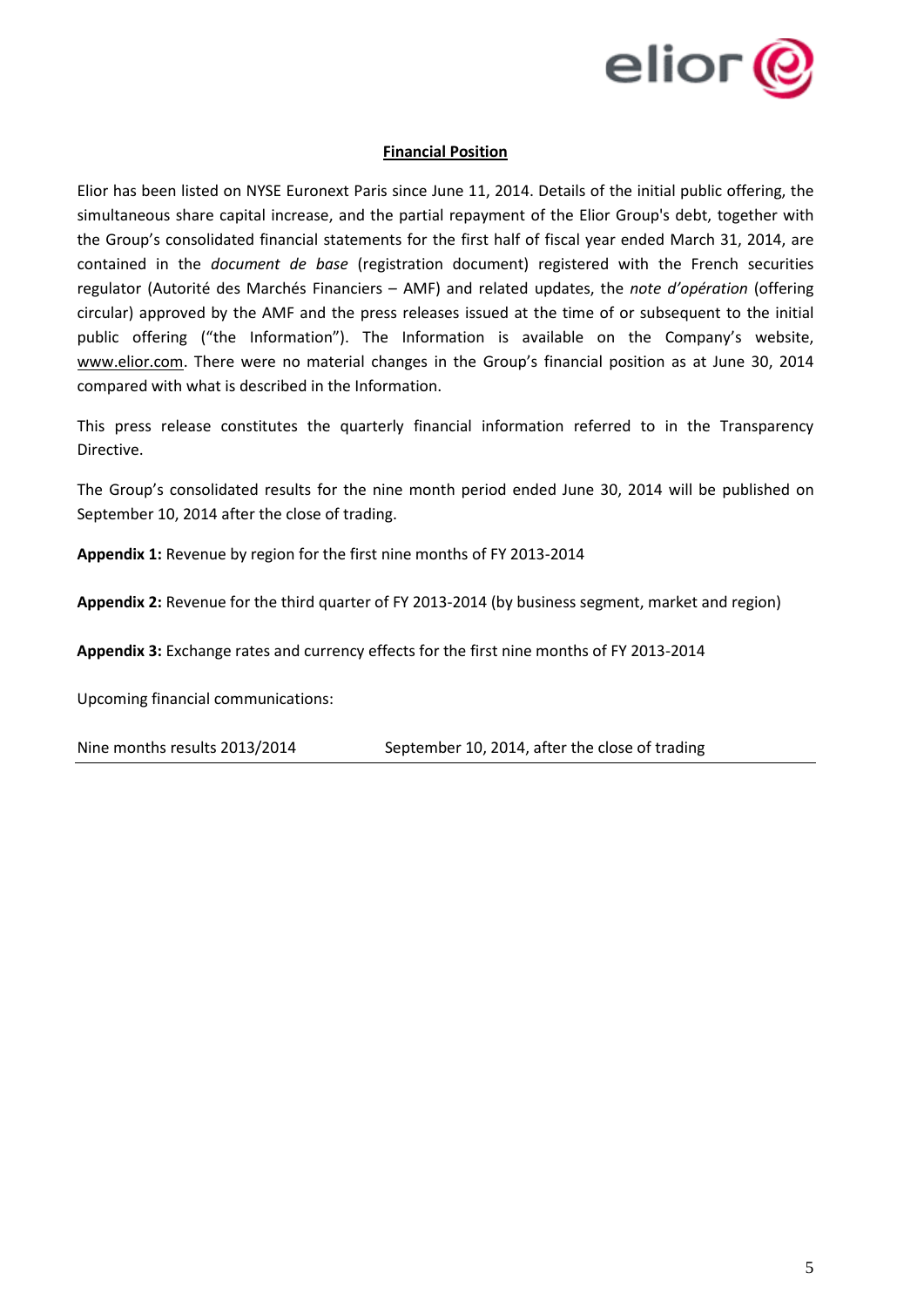

## **Financial Position**

Elior has been listed on NYSE Euronext Paris since June 11, 2014. Details of the initial public offering, the simultaneous share capital increase, and the partial repayment of the Elior Group's debt, together with the Group's consolidated financial statements for the first half of fiscal year ended March 31, 2014, are contained in the *document de base* (registration document) registered with the French securities regulator (Autorité des Marchés Financiers – AMF) and related updates, the *note d'opération* (offering circular) approved by the AMF and the press releases issued at the time of or subsequent to the initial public offering ("the Information"). The Information is available on the Company's website, [www.elior.com.](http://www.elior.com/) There were no material changes in the Group's financial position as at June 30, 2014 compared with what is described in the Information.

This press release constitutes the quarterly financial information referred to in the Transparency Directive.

The Group's consolidated results for the nine month period ended June 30, 2014 will be published on September 10, 2014 after the close of trading.

**Appendix 1:** Revenue by region for the first nine months of FY 2013-2014

**Appendix 2:** Revenue for the third quarter of FY 2013-2014 (by business segment, market and region)

**Appendix 3:** Exchange rates and currency effects for the first nine months of FY 2013-2014

Upcoming financial communications:

Nine months results 2013/2014 September 10, 2014, after the close of trading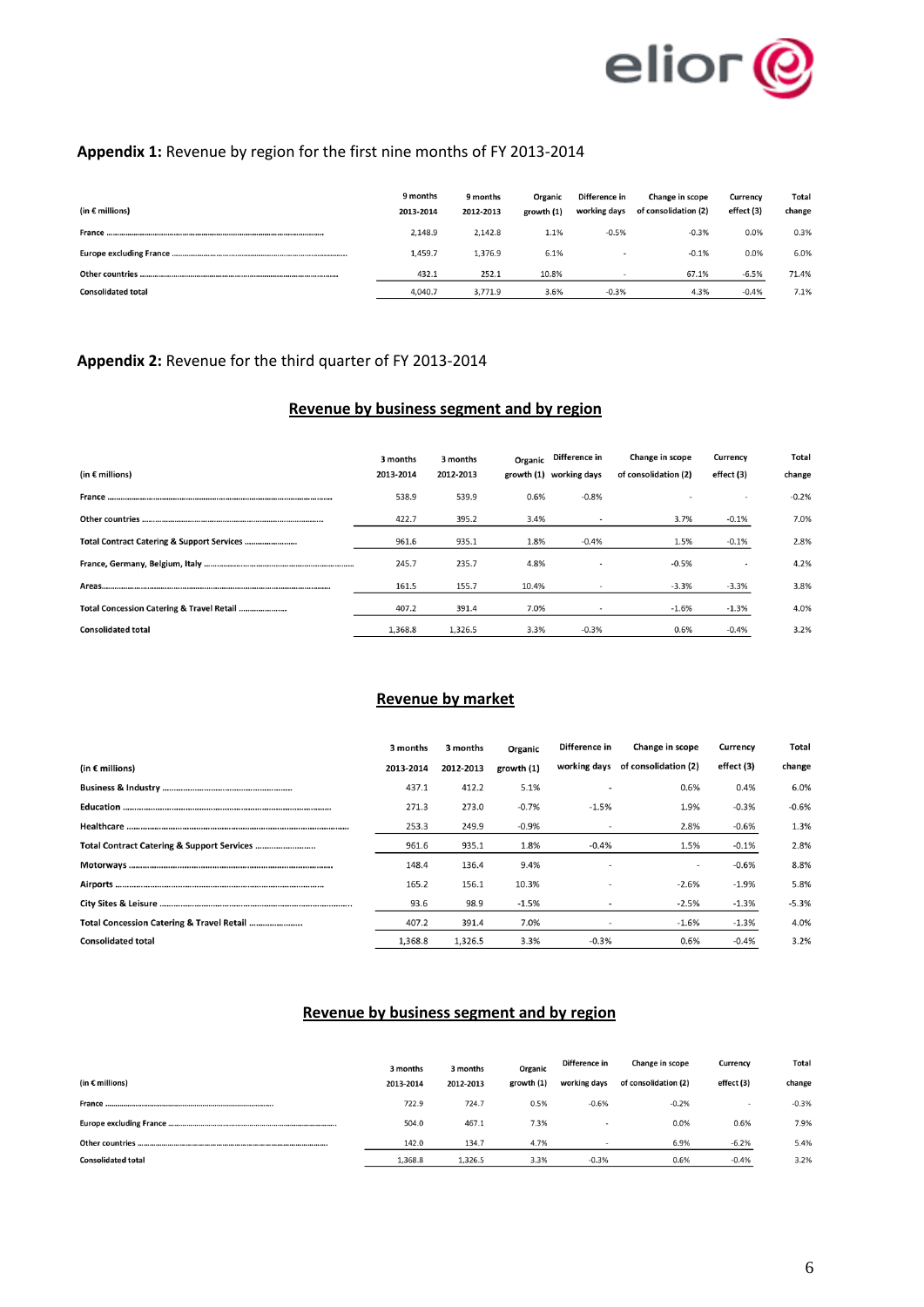

# **Appendix 1:** Revenue by region for the first nine months of FY 2013-2014

| (in $\epsilon$ millions)  | 9 months<br>2013-2014 | 9 months<br>2012-2013 | Organic<br>growth (1) | Difference in<br>working days | Change in scope<br>of consolidation (2) | Currency<br>effect (3) | Total<br>change |
|---------------------------|-----------------------|-----------------------|-----------------------|-------------------------------|-----------------------------------------|------------------------|-----------------|
|                           | 2.148.9               | 2.142.8               | 1.1%                  | $-0.5%$                       | $-0.3%$                                 | 0.0%                   | 0.3%            |
|                           | 1,459.7               | 1,376.9               | 6.1%                  |                               | $-0.1%$                                 | 0.0%                   | 6.0%            |
|                           | 432.1                 | 252.1                 | 10.8%                 |                               | 67.1%                                   | $-6.5%$                | 71.4%           |
| <b>Consolidated total</b> | 4,040.7               | 3,771.9               | 3.6%                  | $-0.3%$                       | 4.3%                                    | $-0.4%$                | 7.1%            |

# **Appendix 2:** Revenue for the third quarter of FY 2013-2014

# **Revenue by business segment and by region**

|                                           | 3 months  | 3 months  |       | Organic Difference in   | Change in scope      | Currency   | Total   |
|-------------------------------------------|-----------|-----------|-------|-------------------------|----------------------|------------|---------|
| (in $\epsilon$ millions)                  | 2013-2014 | 2012-2013 |       | growth (1) working days | of consolidation (2) | effect (3) | change  |
|                                           | 538.9     | 539.9     | 0.6%  | $-0.8%$                 |                      |            | $-0.2%$ |
|                                           | 422.7     | 395.2     | 3.4%  |                         | 3.7%                 | $-0.1%$    | 7.0%    |
|                                           | 961.6     | 935.1     | 1.8%  | $-0.4%$                 | 1.5%                 | $-0.1%$    | 2.8%    |
|                                           | 245.7     | 235.7     | 4.8%  |                         | $-0.5%$              |            | 4.2%    |
|                                           | 161.5     | 155.7     | 10.4% |                         | $-3.3%$              | $-3.3%$    | 3.8%    |
| Total Concession Catering & Travel Retail | 407.2     | 391.4     | 7.0%  |                         | $-1.6%$              | $-1.3%$    | 4.0%    |
| <b>Consolidated total</b>                 | 1,368.8   | 1,326.5   | 3.3%  | $-0.3%$                 | 0.6%                 | $-0.4%$    | 3.2%    |

## **Revenue by market**

|                                            | 3 months  | 3 months  | Organic    | Difference in | Change in scope                   | Currency   | Total   |
|--------------------------------------------|-----------|-----------|------------|---------------|-----------------------------------|------------|---------|
| (in $\epsilon$ millions)                   | 2013-2014 | 2012-2013 | growth (1) |               | working days of consolidation (2) | effect (3) | change  |
|                                            | 437.1     | 412.2     | 5.1%       |               | 0.6%                              | 0.4%       | 6.0%    |
|                                            | 271.3     | 273.0     | $-0.7%$    | $-1.5%$       | 1.9%                              | $-0.3%$    | $-0.6%$ |
|                                            | 253.3     | 249.9     | $-0.9%$    |               | 2.8%                              | $-0.6%$    | 1.3%    |
| Total Contract Catering & Support Services | 961.6     | 935.1     | 1.8%       | $-0.4%$       | 1.5%                              | $-0.1%$    | 2.8%    |
|                                            | 148.4     | 136.4     | 9.4%       |               |                                   | $-0.6%$    | 8.8%    |
|                                            | 165.2     | 156.1     | 10.3%      |               | $-2.6%$                           | $-1.9%$    | 5.8%    |
|                                            | 93.6      | 98.9      | $-1.5%$    |               | $-2.5%$                           | $-1.3%$    | $-5.3%$ |
| Total Concession Catering & Travel Retail  | 407.2     | 391.4     | 7.0%       |               | $-1.6%$                           | $-1.3%$    | 4.0%    |
| <b>Consolidated total</b>                  | 1,368.8   | 1.326.5   | 3.3%       | $-0.3%$       | 0.6%                              | $-0.4%$    | 3.2%    |

# **Revenue by business segment and by region**

|                           | 3 months  | 3 months  | Organic    | Difference in | Change in scope      | Currency   | Total   |
|---------------------------|-----------|-----------|------------|---------------|----------------------|------------|---------|
| (in $\epsilon$ millions)  | 2013-2014 | 2012-2013 | growth (1) | working days  | of consolidation (2) | effect (3) | change  |
|                           | 722.9     | 724.7     | 0.5%       | $-0.6%$       | $-0.2%$              |            | $-0.3%$ |
|                           | 504.0     | 467.1     | 7.3%       |               | 0.0%                 | 0.6%       | 7.9%    |
| Other countries           | 142.0     | 134.7     | 4.7%       |               | 6.9%                 | $-6.2%$    | 5.4%    |
| <b>Consolidated total</b> | 1,368.8   | 1,326.5   | 3.3%       | $-0.3%$       | 0.6%                 | $-0.4%$    | 3.2%    |